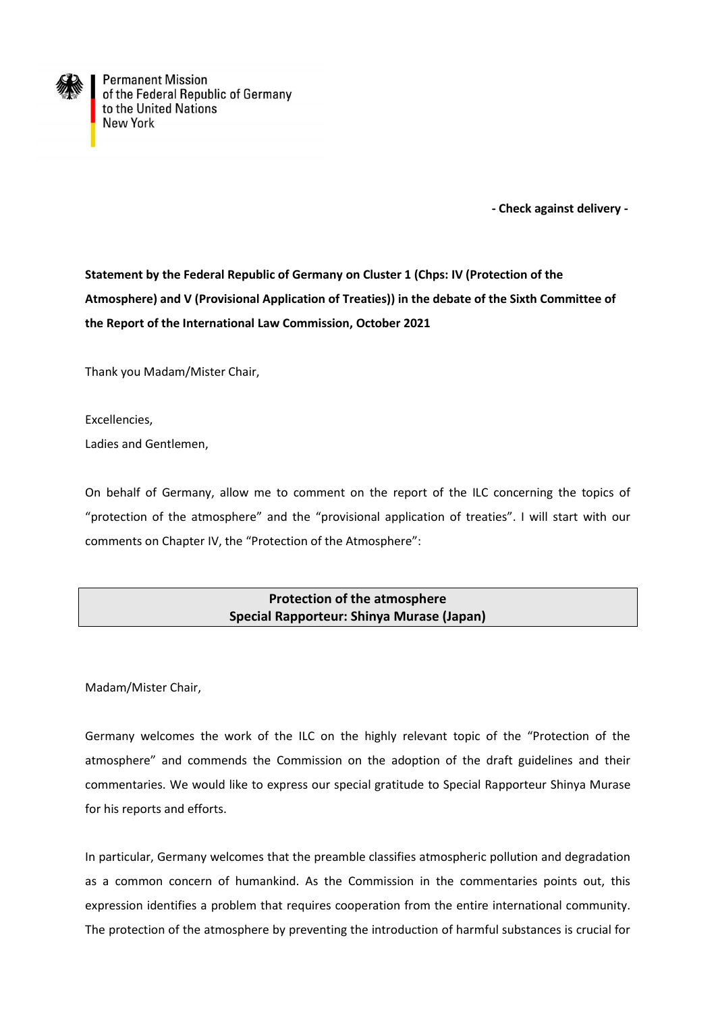

**Permanent Mission** of the Federal Republic of Germany to the United Nations **New York** 

 **- Check against delivery -**

**Statement by the Federal Republic of Germany on Cluster 1 (Chps: IV (Protection of the Atmosphere) and V (Provisional Application of Treaties)) in the debate of the Sixth Committee of the Report of the International Law Commission, October 2021**

Thank you Madam/Mister Chair,

Excellencies,

Ladies and Gentlemen,

On behalf of Germany, allow me to comment on the report of the ILC concerning the topics of "protection of the atmosphere" and the "provisional application of treaties". I will start with our comments on Chapter IV, the "Protection of the Atmosphere":

## **Protection of the atmosphere Special Rapporteur: Shinya Murase (Japan)**

Madam/Mister Chair,

Germany welcomes the work of the ILC on the highly relevant topic of the "Protection of the atmosphere" and commends the Commission on the adoption of the draft guidelines and their commentaries. We would like to express our special gratitude to Special Rapporteur Shinya Murase for his reports and efforts.

In particular, Germany welcomes that the preamble classifies atmospheric pollution and degradation as a common concern of humankind. As the Commission in the commentaries points out, this expression identifies a problem that requires cooperation from the entire international community. The protection of the atmosphere by preventing the introduction of harmful substances is crucial for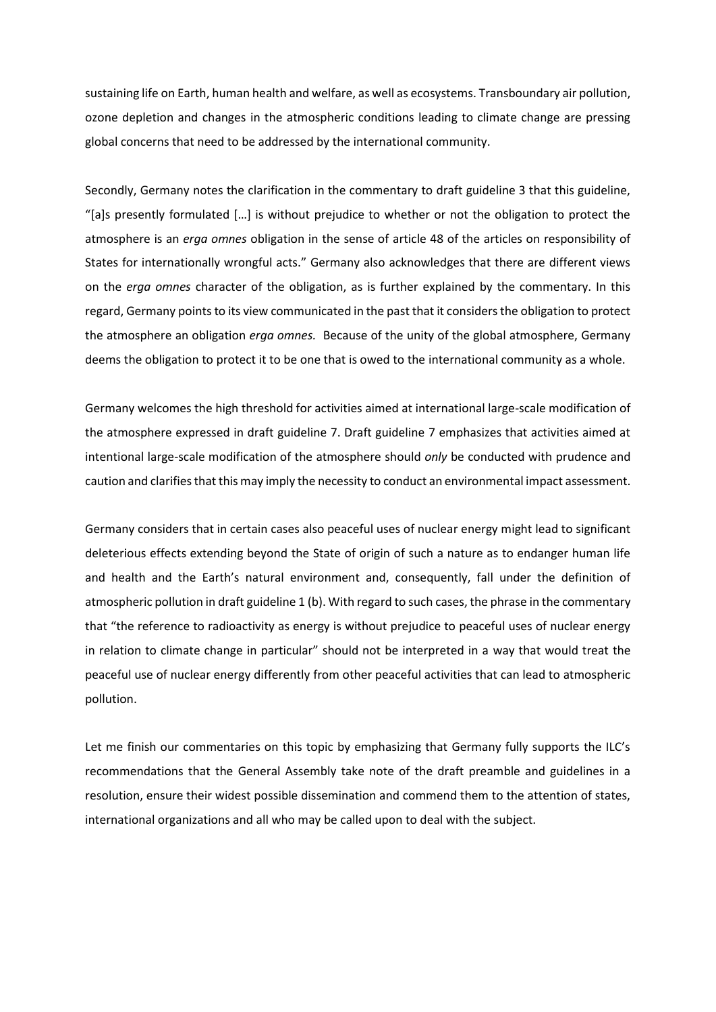sustaining life on Earth, human health and welfare, as well as ecosystems. Transboundary air pollution, ozone depletion and changes in the atmospheric conditions leading to climate change are pressing global concerns that need to be addressed by the international community.

Secondly, Germany notes the clarification in the commentary to draft guideline 3 that this guideline, "[a]s presently formulated […] is without prejudice to whether or not the obligation to protect the atmosphere is an *erga omnes* obligation in the sense of article 48 of the articles on responsibility of States for internationally wrongful acts." Germany also acknowledges that there are different views on the *erga omnes* character of the obligation, as is further explained by the commentary. In this regard, Germany points to its view communicated in the past that it considers the obligation to protect the atmosphere an obligation *erga omnes.* Because of the unity of the global atmosphere, Germany deems the obligation to protect it to be one that is owed to the international community as a whole.

Germany welcomes the high threshold for activities aimed at international large-scale modification of the atmosphere expressed in draft guideline 7. Draft guideline 7 emphasizes that activities aimed at intentional large-scale modification of the atmosphere should *only* be conducted with prudence and caution and clarifies that this may imply the necessity to conduct an environmental impact assessment.

Germany considers that in certain cases also peaceful uses of nuclear energy might lead to significant deleterious effects extending beyond the State of origin of such a nature as to endanger human life and health and the Earth's natural environment and, consequently, fall under the definition of atmospheric pollution in draft guideline 1 (b). With regard to such cases, the phrase in the commentary that "the reference to radioactivity as energy is without prejudice to peaceful uses of nuclear energy in relation to climate change in particular" should not be interpreted in a way that would treat the peaceful use of nuclear energy differently from other peaceful activities that can lead to atmospheric pollution.

Let me finish our commentaries on this topic by emphasizing that Germany fully supports the ILC's recommendations that the General Assembly take note of the draft preamble and guidelines in a resolution, ensure their widest possible dissemination and commend them to the attention of states, international organizations and all who may be called upon to deal with the subject.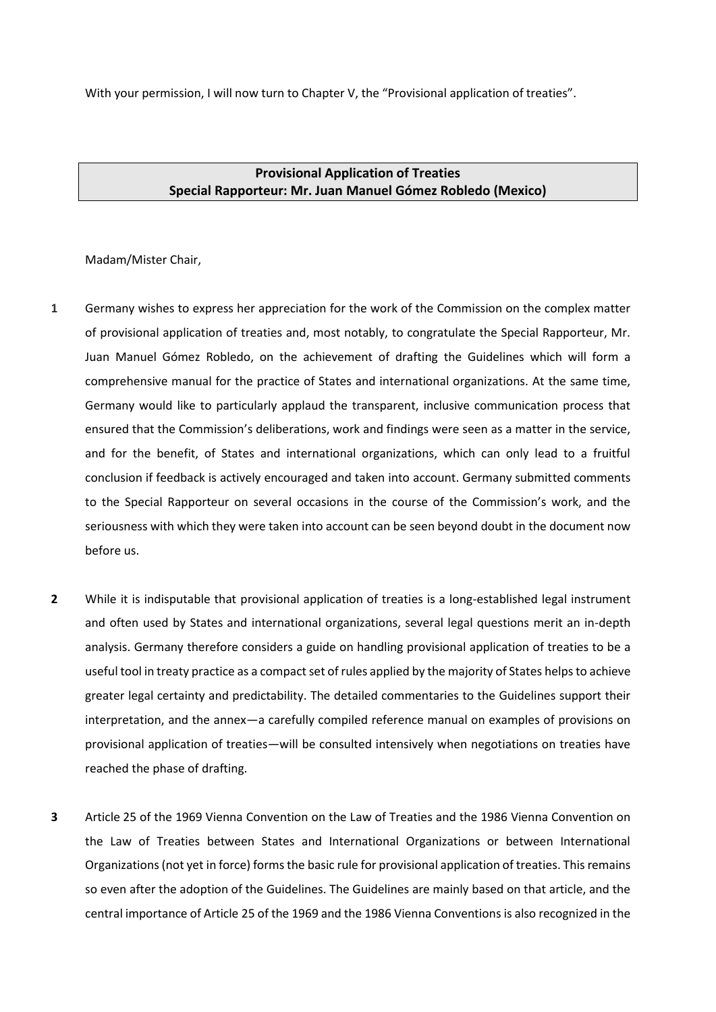With your permission, I will now turn to Chapter V, the "Provisional application of treaties".

**Provisional Application of Treaties Special Rapporteur: Mr. Juan Manuel Gómez Robledo (Mexico)**

Madam/Mister Chair,

- **1** Germany wishes to express her appreciation for the work of the Commission on the complex matter of provisional application of treaties and, most notably, to congratulate the Special Rapporteur, Mr. Juan Manuel Gómez Robledo, on the achievement of drafting the Guidelines which will form a comprehensive manual for the practice of States and international organizations. At the same time, Germany would like to particularly applaud the transparent, inclusive communication process that ensured that the Commission's deliberations, work and findings were seen as a matter in the service, and for the benefit, of States and international organizations, which can only lead to a fruitful conclusion if feedback is actively encouraged and taken into account. Germany submitted comments to the Special Rapporteur on several occasions in the course of the Commission's work, and the seriousness with which they were taken into account can be seen beyond doubt in the document now before us.
- **2** While it is indisputable that provisional application of treaties is a long-established legal instrument and often used by States and international organizations, several legal questions merit an in-depth analysis. Germany therefore considers a guide on handling provisional application of treaties to be a useful tool in treaty practice as a compact set of rules applied by the majority of States helps to achieve greater legal certainty and predictability. The detailed commentaries to the Guidelines support their interpretation, and the annex—a carefully compiled reference manual on examples of provisions on provisional application of treaties—will be consulted intensively when negotiations on treaties have reached the phase of drafting.
- **3** Article 25 of the 1969 Vienna Convention on the Law of Treaties and the 1986 Vienna Convention on the Law of Treaties between States and International Organizations or between International Organizations (not yet in force) forms the basic rule for provisional application of treaties. This remains so even after the adoption of the Guidelines. The Guidelines are mainly based on that article, and the central importance of Article 25 of the 1969 and the 1986 Vienna Conventions is also recognized in the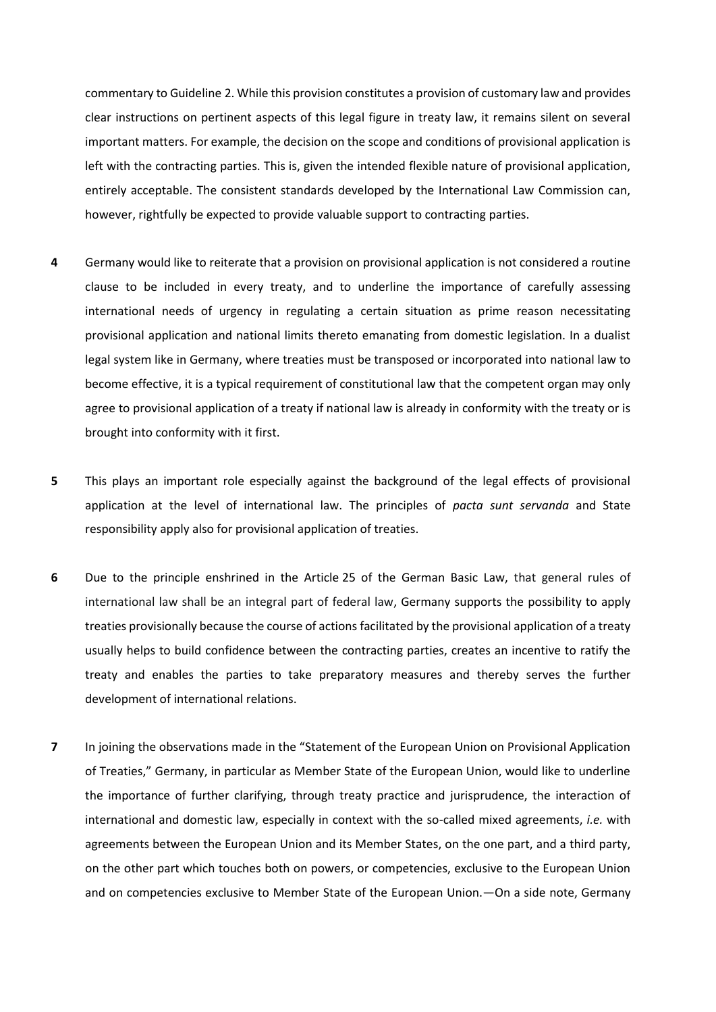commentary to Guideline 2. While this provision constitutes a provision of customary law and provides clear instructions on pertinent aspects of this legal figure in treaty law, it remains silent on several important matters. For example, the decision on the scope and conditions of provisional application is left with the contracting parties. This is, given the intended flexible nature of provisional application, entirely acceptable. The consistent standards developed by the International Law Commission can, however, rightfully be expected to provide valuable support to contracting parties.

- **4** Germany would like to reiterate that a provision on provisional application is not considered a routine clause to be included in every treaty, and to underline the importance of carefully assessing international needs of urgency in regulating a certain situation as prime reason necessitating provisional application and national limits thereto emanating from domestic legislation. In a dualist legal system like in Germany, where treaties must be transposed or incorporated into national law to become effective, it is a typical requirement of constitutional law that the competent organ may only agree to provisional application of a treaty if national law is already in conformity with the treaty or is brought into conformity with it first.
- **5** This plays an important role especially against the background of the legal effects of provisional application at the level of international law. The principles of *pacta sunt servanda* and State responsibility apply also for provisional application of treaties.
- **6** Due to the principle enshrined in the Article 25 of the German Basic Law, that general rules of international law shall be an integral part of federal law, Germany supports the possibility to apply treaties provisionally because the course of actions facilitated by the provisional application of a treaty usually helps to build confidence between the contracting parties, creates an incentive to ratify the treaty and enables the parties to take preparatory measures and thereby serves the further development of international relations.
- **7** In joining the observations made in the "Statement of the European Union on Provisional Application of Treaties," Germany, in particular as Member State of the European Union, would like to underline the importance of further clarifying, through treaty practice and jurisprudence, the interaction of international and domestic law, especially in context with the so-called mixed agreements, *i.e.* with agreements between the European Union and its Member States, on the one part, and a third party, on the other part which touches both on powers, or competencies, exclusive to the European Union and on competencies exclusive to Member State of the European Union.—On a side note, Germany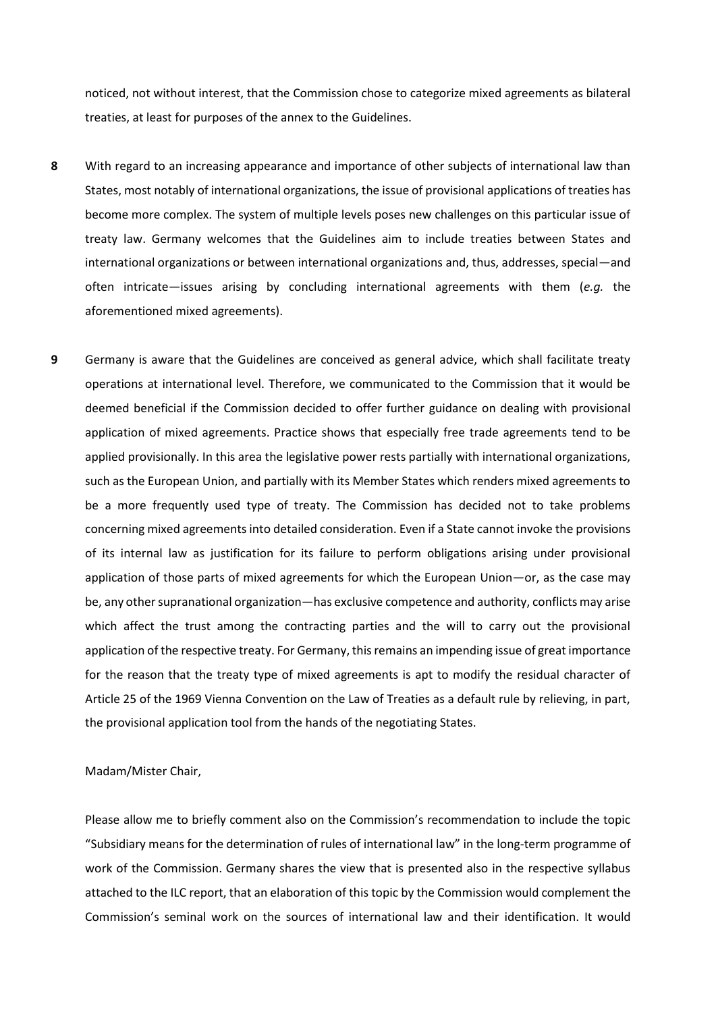noticed, not without interest, that the Commission chose to categorize mixed agreements as bilateral treaties, at least for purposes of the annex to the Guidelines.

- **8** With regard to an increasing appearance and importance of other subjects of international law than States, most notably of international organizations, the issue of provisional applications of treaties has become more complex. The system of multiple levels poses new challenges on this particular issue of treaty law. Germany welcomes that the Guidelines aim to include treaties between States and international organizations or between international organizations and, thus, addresses, special—and often intricate—issues arising by concluding international agreements with them (*e.g.* the aforementioned mixed agreements).
- **9** Germany is aware that the Guidelines are conceived as general advice, which shall facilitate treaty operations at international level. Therefore, we communicated to the Commission that it would be deemed beneficial if the Commission decided to offer further guidance on dealing with provisional application of mixed agreements. Practice shows that especially free trade agreements tend to be applied provisionally. In this area the legislative power rests partially with international organizations, such as the European Union, and partially with its Member States which renders mixed agreements to be a more frequently used type of treaty. The Commission has decided not to take problems concerning mixed agreements into detailed consideration. Even if a State cannot invoke the provisions of its internal law as justification for its failure to perform obligations arising under provisional application of those parts of mixed agreements for which the European Union—or, as the case may be, any other supranational organization—has exclusive competence and authority, conflicts may arise which affect the trust among the contracting parties and the will to carry out the provisional application of the respective treaty. For Germany, this remains an impending issue of great importance for the reason that the treaty type of mixed agreements is apt to modify the residual character of Article 25 of the 1969 Vienna Convention on the Law of Treaties as a default rule by relieving, in part, the provisional application tool from the hands of the negotiating States.

## Madam/Mister Chair,

Please allow me to briefly comment also on the Commission's recommendation to include the topic "Subsidiary means for the determination of rules of international law" in the long-term programme of work of the Commission. Germany shares the view that is presented also in the respective syllabus attached to the ILC report, that an elaboration of this topic by the Commission would complement the Commission's seminal work on the sources of international law and their identification. It would